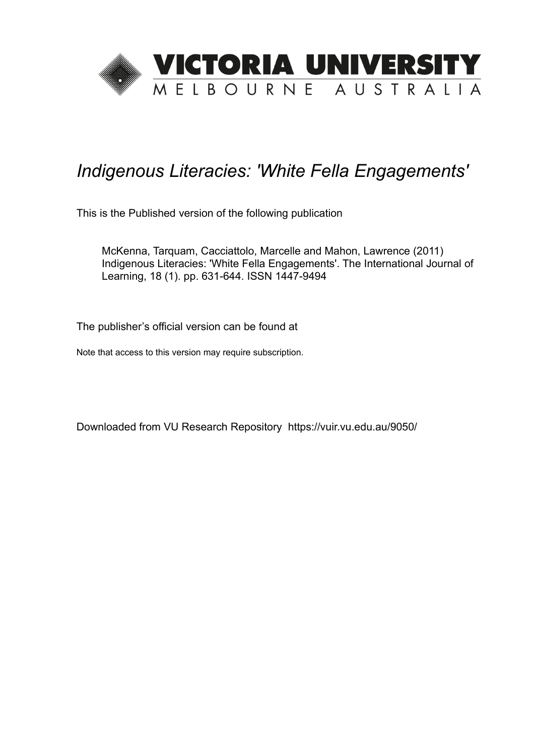

# *Indigenous Literacies: 'White Fella Engagements'*

This is the Published version of the following publication

McKenna, Tarquam, Cacciattolo, Marcelle and Mahon, Lawrence (2011) Indigenous Literacies: 'White Fella Engagements'. The International Journal of Learning, 18 (1). pp. 631-644. ISSN 1447-9494

The publisher's official version can be found at

Note that access to this version may require subscription.

Downloaded from VU Research Repository https://vuir.vu.edu.au/9050/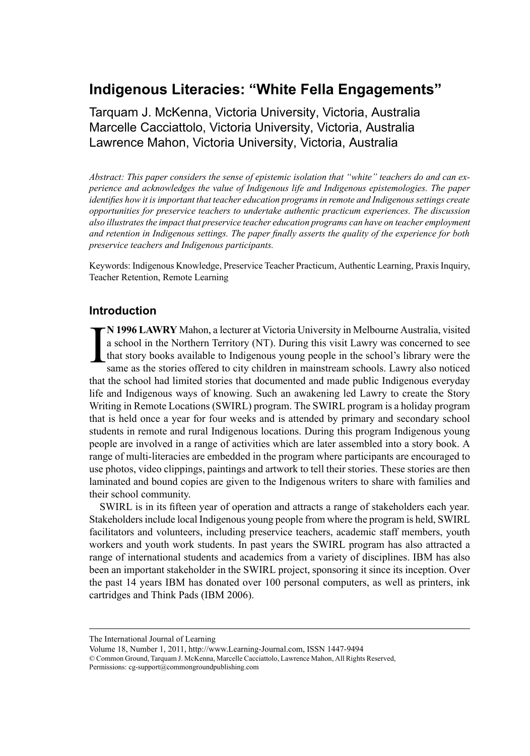# **Indigenous Literacies: "White Fella Engagements"**

Tarquam J. McKenna, Victoria University, Victoria, Australia Marcelle Cacciattolo, Victoria University, Victoria, Australia Lawrence Mahon, Victoria University, Victoria, Australia

*Abstract: This paper considers the sense of epistemic isolation that "white" teachers do and can experience and acknowledges the value of Indigenous life and Indigenous epistemologies. The paper identifies how it is important that teacher education programs in remote and Indigenous settings create opportunities for preservice teachers to undertake authentic practicum experiences. The discussion also illustratesthe impact that preservice teacher education programs can have on teacher employment and retention in Indigenous settings. The paper finally asserts the quality of the experience for both preservice teachers and Indigenous participants.*

Keywords: Indigenous Knowledge, Preservice Teacher Practicum, Authentic Learning, PraxisInquiry, Teacher Retention, Remote Learning

#### **Introduction**

I **N 1996 LAWRY** Mahon, a lecturer at Victoria University in Melbourne Australia, visited a school in the Northern Territory (NT). During this visit Lawry was concerned to see that story books available to Indigenous young people in the school's library were the same as the stories offered to city children in mainstream schools. Lawry also noticed that the school had limited stories that documented and made public Indigenous everyday life and Indigenous ways of knowing. Such an awakening led Lawry to create the Story Writing in Remote Locations (SWIRL) program. The SWIRL program is a holiday program that is held once a year for four weeks and is attended by primary and secondary school students in remote and rural Indigenous locations. During this program Indigenous young people are involved in a range of activities which are later assembled into a story book. A range of multi-literacies are embedded in the program where participants are encouraged to use photos, video clippings, paintings and artwork to tell their stories. These stories are then laminated and bound copies are given to the Indigenous writers to share with families and their school community.

SWIRL is in its fifteen year of operation and attracts a range of stakeholders each year. Stakeholders include local Indigenous young people from where the program is held, SWIRL facilitators and volunteers, including preservice teachers, academic staff members, youth workers and youth work students. In past years the SWIRL program has also attracted a range of international students and academics from a variety of disciplines. IBM has also been an important stakeholder in the SWIRL project, sponsoring it since its inception. Over the past 14 years IBM has donated over 100 personal computers, as well as printers, ink cartridges and Think Pads (IBM 2006).

The International Journal of Learning

Volume 18, Number 1, 2011, http://www.Learning-Journal.com, ISSN 1447-9494 © Common Ground, Tarquam J. McKenna, Marcelle Cacciattolo, Lawrence Mahon, All Rights Reserved, Permissions: cg-support@commongroundpublishing.com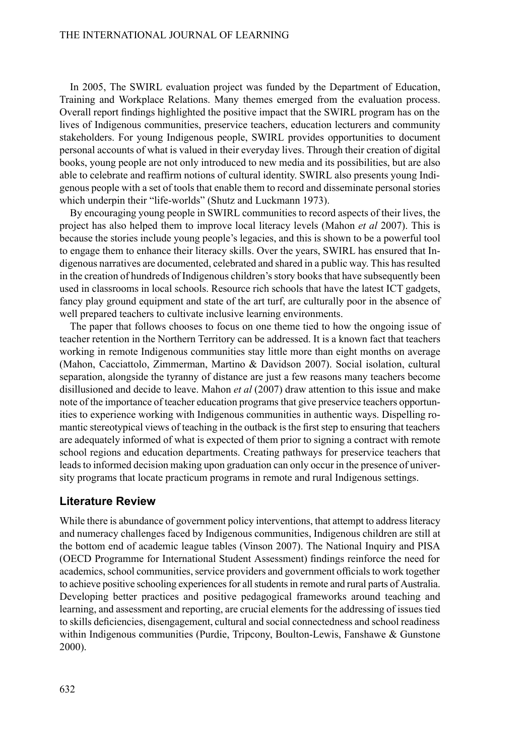In 2005, The SWIRL evaluation project was funded by the Department of Education, Training and Workplace Relations. Many themes emerged from the evaluation process. Overall report findings highlighted the positive impact that the SWIRL program has on the lives of Indigenous communities, preservice teachers, education lecturers and community stakeholders. For young Indigenous people, SWIRL provides opportunities to document personal accounts of what is valued in their everyday lives. Through their creation of digital books, young people are not only introduced to new media and its possibilities, but are also able to celebrate and reaffirm notions of cultural identity. SWIRL also presents young Indigenous people with a set of tools that enable them to record and disseminate personal stories which underpin their "life-worlds" (Shutz and Luckmann 1973).

By encouraging young people in SWIRL communities to record aspects of their lives, the project has also helped them to improve local literacy levels (Mahon *et al* 2007). This is because the stories include young people's legacies, and this is shown to be a powerful tool to engage them to enhance their literacy skills. Over the years, SWIRL has ensured that Indigenous narratives are documented, celebrated and shared in a public way. This hasresulted in the creation of hundreds of Indigenous children'sstory booksthat have subsequently been used in classrooms in local schools. Resource rich schools that have the latest ICT gadgets, fancy play ground equipment and state of the art turf, are culturally poor in the absence of well prepared teachers to cultivate inclusive learning environments.

The paper that follows chooses to focus on one theme tied to how the ongoing issue of teacher retention in the Northern Territory can be addressed. It is a known fact that teachers working in remote Indigenous communities stay little more than eight months on average (Mahon, Cacciattolo, Zimmerman, Martino & Davidson 2007). Social isolation, cultural separation, alongside the tyranny of distance are just a few reasons many teachers become disillusioned and decide to leave. Mahon *et al* (2007) draw attention to this issue and make note of the importance of teacher education programsthat give preservice teachers opportunities to experience working with Indigenous communities in authentic ways. Dispelling romantic stereotypical views of teaching in the outback is the first step to ensuring that teachers are adequately informed of what is expected of them prior to signing a contract with remote school regions and education departments. Creating pathways for preservice teachers that leads to informed decision making upon graduation can only occur in the presence of university programs that locate practicum programs in remote and rural Indigenous settings.

#### **Literature Review**

While there is abundance of government policy interventions, that attempt to address literacy and numeracy challenges faced by Indigenous communities, Indigenous children are still at the bottom end of academic league tables (Vinson 2007). The National Inquiry and PISA (OECD Programme for International Student Assessment) findings reinforce the need for academics, school communities, service providers and government officials to work together to achieve positive schooling experiences for all students in remote and rural parts of Australia. Developing better practices and positive pedagogical frameworks around teaching and learning, and assessment and reporting, are crucial elements for the addressing of issues tied to skills deficiencies, disengagement, cultural and social connectedness and school readiness within Indigenous communities (Purdie, Tripcony, Boulton-Lewis, Fanshawe & Gunstone 2000).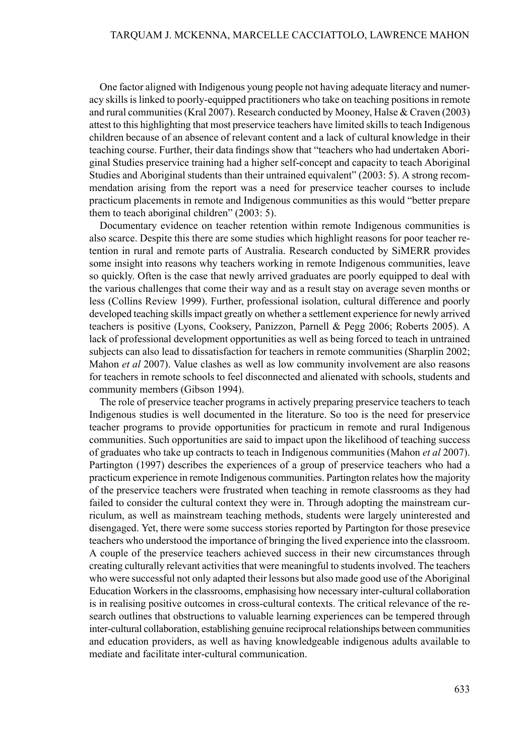One factor aligned with Indigenous young people not having adequate literacy and numeracy skills is linked to poorly-equipped practitioners who take on teaching positions in remote and rural communities(Kral 2007). Research conducted by Mooney, Halse & Craven (2003) attest to this highlighting that most preservice teachers have limited skills to teach Indigenous children because of an absence of relevant content and a lack of cultural knowledge in their teaching course. Further, their data findings show that "teachers who had undertaken Aboriginal Studies preservice training had a higher self-concept and capacity to teach Aboriginal Studies and Aboriginal students than their untrained equivalent" (2003: 5). A strong recommendation arising from the report was a need for preservice teacher courses to include practicum placements in remote and Indigenous communities as this would "better prepare them to teach aboriginal children" (2003: 5).

Documentary evidence on teacher retention within remote Indigenous communities is also scarce. Despite this there are some studies which highlight reasons for poor teacher retention in rural and remote parts of Australia. Research conducted by SiMERR provides some insight into reasons why teachers working in remote Indigenous communities, leave so quickly. Often is the case that newly arrived graduates are poorly equipped to deal with the various challenges that come their way and as a result stay on average seven months or less (Collins Review 1999). Further, professional isolation, cultural difference and poorly developed teaching skillsimpact greatly on whether a settlement experience for newly arrived teachers is positive (Lyons, Cooksery, Panizzon, Parnell & Pegg 2006; Roberts 2005). A lack of professional development opportunities as well as being forced to teach in untrained subjects can also lead to dissatisfaction for teachers in remote communities (Sharplin 2002; Mahon *et al* 2007). Value clashes as well as low community involvement are also reasons for teachers in remote schools to feel disconnected and alienated with schools, students and community members (Gibson 1994).

The role of preservice teacher programs in actively preparing preservice teachers to teach Indigenous studies is well documented in the literature. So too is the need for preservice teacher programs to provide opportunities for practicum in remote and rural Indigenous communities. Such opportunities are said to impact upon the likelihood of teaching success of graduates who take up contracts to teach in Indigenous communities (Mahon *et al* 2007). Partington (1997) describes the experiences of a group of preservice teachers who had a practicum experience in remote Indigenous communities.Partington relates how the majority of the preservice teachers were frustrated when teaching in remote classrooms as they had failed to consider the cultural context they were in. Through adopting the mainstream curriculum, as well as mainstream teaching methods, students were largely uninterested and disengaged. Yet, there were some success stories reported by Partington for those presevice teachers who understood the importance of bringing the lived experience into the classroom. A couple of the preservice teachers achieved success in their new circumstances through creating culturally relevant activities that were meaningful to students involved. The teachers who were successful not only adapted their lessons but also made good use of the Aboriginal Education Workersin the classrooms, emphasising how necessary inter-cultural collaboration is in realising positive outcomes in cross-cultural contexts. The critical relevance of the research outlines that obstructions to valuable learning experiences can be tempered through inter-cultural collaboration, establishing genuine reciprocal relationships between communities and education providers, as well as having knowledgeable indigenous adults available to mediate and facilitate inter-cultural communication.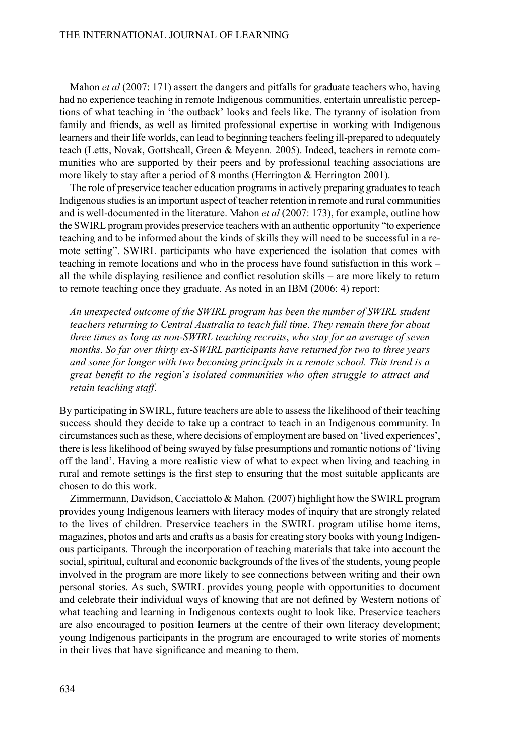Mahon *et al* (2007: 171) assert the dangers and pitfalls for graduate teachers who, having had no experience teaching in remote Indigenous communities, entertain unrealistic perceptions of what teaching in 'the outback' looks and feels like. The tyranny of isolation from family and friends, as well as limited professional expertise in working with Indigenous learners and their life worlds, can lead to beginning teachers feeling ill-prepared to adequately teach (Letts, Novak, Gottshcall, Green & Meyenn*.* 2005). Indeed, teachers in remote communities who are supported by their peers and by professional teaching associations are more likely to stay after a period of 8 months (Herrington & Herrington 2001).

The role of preservice teacher education programsin actively preparing graduatesto teach Indigenous studies is an important aspect of teacher retention in remote and rural communities and is well-documented in the literature. Mahon *et al* (2007: 173), for example, outline how theSWIRL program provides preservice teachers with an authentic opportunity "to experience teaching and to be informed about the kinds of skills they will need to be successful in a remote setting". SWIRL participants who have experienced the isolation that comes with teaching in remote locations and who in the process have found satisfaction in this work – all the while displaying resilience and conflict resolution skills – are more likely to return to remote teaching once they graduate. As noted in an IBM (2006: 4) report:

*An unexpected outcome of the SWIRL program has been the number of SWIRL student teachers returning to Central Australia to teach full time*. *They remain there for about three times as long as non-SWIRL teaching recruits*, *who stay for an average of seven months*. *So far over thirty ex-SWIRL participants have returned for two to three years and some for longer with two becoming principals in a remote school. This trend is a great benefit to the region*'*s isolated communities who often struggle to attract and retain teaching staff*.

By participating inSWIRL, future teachers are able to assess the likelihood of their teaching success should they decide to take up a contract to teach in an Indigenous community. In circumstancessuch asthese, where decisions of employment are based on 'lived experiences', there islesslikelihood of being swayed by false presumptions and romantic notions of 'living off the land'. Having a more realistic view of what to expect when living and teaching in rural and remote settings is the first step to ensuring that the most suitable applicants are chosen to do this work.

Zimmermann, Davidson, Cacciattolo & Mahon*.* (2007) highlight how theSWIRL program provides young Indigenous learners with literacy modes of inquiry that are strongly related to the lives of children. Preservice teachers in the SWIRL program utilise home items, magazines, photos and arts and crafts as a basis for creating story books with young Indigenous participants. Through the incorporation of teaching materials that take into account the social, spiritual, cultural and economic backgrounds of the lives of the students, young people involved in the program are more likely to see connections between writing and their own personal stories. As such, SWIRL provides young people with opportunities to document and celebrate their individual ways of knowing that are not defined by Western notions of what teaching and learning in Indigenous contexts ought to look like. Preservice teachers are also encouraged to position learners at the centre of their own literacy development; young Indigenous participants in the program are encouraged to write stories of moments in their lives that have significance and meaning to them.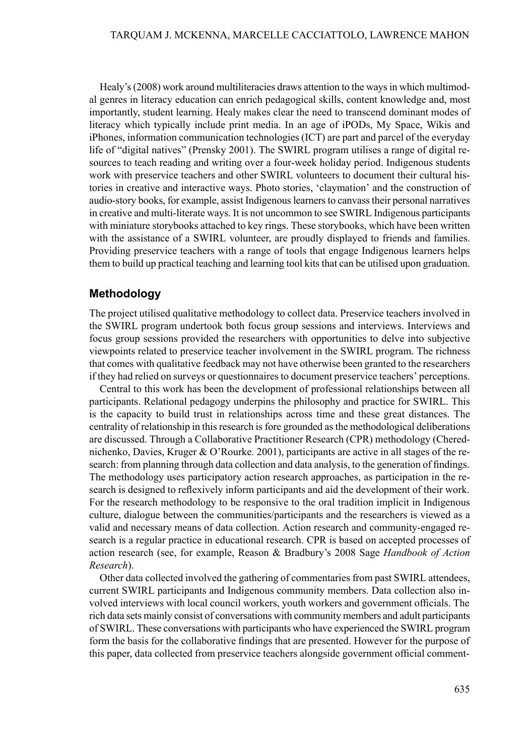Healy's (2008) work around multiliteracies draws attention to the ways in which multimodal genres in literacy education can enrich pedagogical skills, content knowledge and, most importantly, student learning. Healy makes clear the need to transcend dominant modes of literacy which typically include print media. In an age of iPODs, My Space, Wikis and iPhones, information communication technologies (ICT) are part and parcel of the everyday life of "digital natives" (Prensky 2001). The SWIRL program utilises a range of digital resources to teach reading and writing over a four-week holiday period. Indigenous students work with preservice teachers and other SWIRL volunteers to document their cultural histories in creative and interactive ways. Photo stories, 'claymation' and the construction of audio-story books, for example, assist Indigenouslearnersto canvasstheir personal narratives in creative and multi-literate ways. It is not uncommon to seeSWIRL Indigenous participants with miniature storybooks attached to key rings. These storybooks, which have been written with the assistance of a SWIRL volunteer, are proudly displayed to friends and families. Providing preservice teachers with a range of tools that engage Indigenous learners helps them to build up practical teaching and learning tool kitsthat can be utilised upon graduation.

#### **Methodology**

The project utilised qualitative methodology to collect data. Preservice teachers involved in the SWIRL program undertook both focus group sessions and interviews. Interviews and focus group sessions provided the researchers with opportunities to delve into subjective viewpoints related to preservice teacher involvement in the SWIRL program. The richness that comes with qualitative feedback may not have otherwise been granted to the researchers if they had relied on surveys or questionnairesto document preservice teachers' perceptions.

Central to this work has been the development of professional relationships between all participants. Relational pedagogy underpins the philosophy and practice for SWIRL. This is the capacity to build trust in relationships across time and these great distances. The centrality of relationship in thisresearch isfore grounded asthe methodological deliberations are discussed. Through a Collaborative Practitioner Research (CPR) methodology (Cherednichenko, Davies, Kruger & O'Rourke*.* 2001), participants are active in all stages of the research: from planning through data collection and data analysis, to the generation offindings. The methodology uses participatory action research approaches, as participation in the research is designed to reflexively inform participants and aid the development of their work. For the research methodology to be responsive to the oral tradition implicit in Indigenous culture, dialogue between the communities/participants and the researchers is viewed as a valid and necessary means of data collection. Action research and community-engaged research is a regular practice in educational research. CPR is based on accepted processes of action research (see, for example, Reason & Bradbury's 2008 Sage *Handbook of Action Research*).

Other data collected involved the gathering of commentaries from pastSWIRL attendees, current SWIRL participants and Indigenous community members. Data collection also involved interviews with local council workers, youth workers and government officials. The rich data sets mainly consist of conversations with community members and adult participants ofSWIRL. These conversations with participants who have experienced theSWIRL program form the basis for the collaborative findings that are presented. However for the purpose of this paper, data collected from preservice teachers alongside government official comment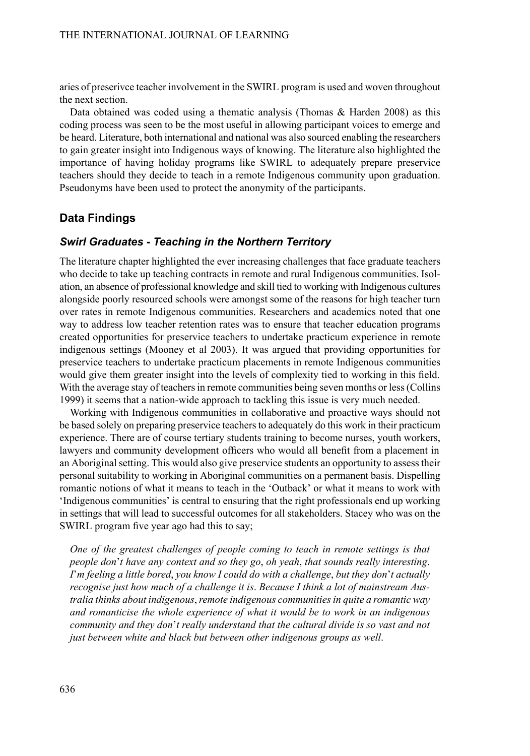aries of preserivce teacher involvement in theSWIRL program is used and woven throughout the next section.

Data obtained was coded using a thematic analysis (Thomas & Harden 2008) as this coding process was seen to be the most useful in allowing participant voices to emerge and be heard. Literature, both international and national was also sourced enabling the researchers to gain greater insight into Indigenous ways of knowing. The literature also highlighted the importance of having holiday programs like SWIRL to adequately prepare preservice teachers should they decide to teach in a remote Indigenous community upon graduation. Pseudonyms have been used to protect the anonymity of the participants.

### **Data Findings**

#### *Swirl Graduates* **-** *Teaching in the Northern Territory*

The literature chapter highlighted the ever increasing challenges that face graduate teachers who decide to take up teaching contracts in remote and rural Indigenous communities. Isolation, an absence of professional knowledge and skill tied to working with Indigenous cultures alongside poorly resourced schools were amongst some of the reasons for high teacher turn over rates in remote Indigenous communities. Researchers and academics noted that one way to address low teacher retention rates was to ensure that teacher education programs created opportunities for preservice teachers to undertake practicum experience in remote indigenous settings (Mooney et al 2003). It was argued that providing opportunities for preservice teachers to undertake practicum placements in remote Indigenous communities would give them greater insight into the levels of complexity tied to working in this field. With the average stay of teachers in remote communities being seven months or less (Collins 1999) it seems that a nation-wide approach to tackling this issue is very much needed.

Working with Indigenous communities in collaborative and proactive ways should not be based solely on preparing preservice teachers to adequately do this work in their practicum experience. There are of course tertiary students training to become nurses, youth workers, lawyers and community development officers who would all benefit from a placement in an Aboriginal setting. This would also give preservice students an opportunity to assess their personal suitability to working in Aboriginal communities on a permanent basis. Dispelling romantic notions of what it means to teach in the 'Outback' or what it means to work with 'Indigenous communities' is central to ensuring that the right professionals end up working in settings that will lead to successful outcomes for all stakeholders. Stacey who was on the SWIRL program five year ago had this to say;

*One of the greatest challenges of people coming to teach in remote settings is that people don*'*t have any context and so they go*, *oh yeah*, *that sounds really interesting*. *I*'*m feeling a little bored*, *you know I could do with a challenge*, *but they don*'*t actually recognise just how much of a challenge it is*. *Because I think a lot of mainstream Australia thinks about indigenous*,*remote indigenous communitiesin quite a romantic way and romanticise the whole experience of what it would be to work in an indigenous community and they don*'*t really understand that the cultural divide is so vast and not just between white and black but between other indigenous groups as well*.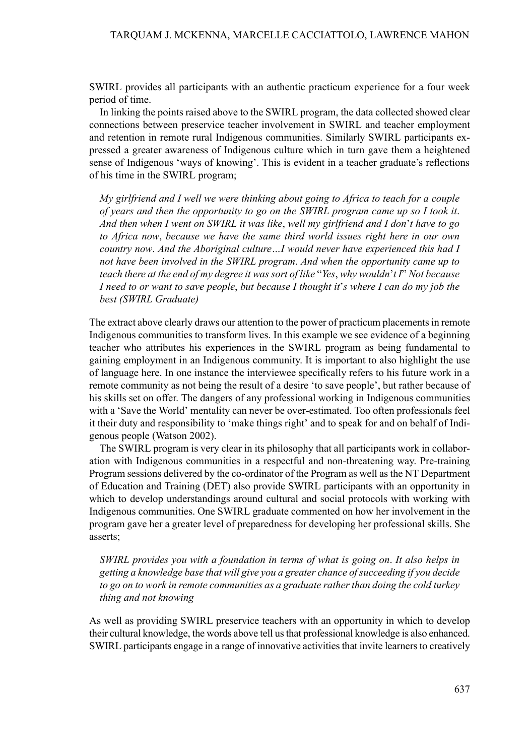SWIRL provides all participants with an authentic practicum experience for a four week period of time.

In linking the points raised above to the SWIRL program, the data collected showed clear connections between preservice teacher involvement in SWIRL and teacher employment and retention in remote rural Indigenous communities. Similarly SWIRL participants expressed a greater awareness of Indigenous culture which in turn gave them a heightened sense of Indigenous 'ways of knowing'. This is evident in a teacher graduate's reflections of his time in the SWIRL program;

*My girlfriend and I well we were thinking about going to Africa to teach for a couple of years and then the opportunity to go on the SWIRL program came up so I took it*. *And then when I went on SWIRL it was like*, *well my girlfriend and I don*'*t have to go to Africa now*, *because we have the same third world issues right here in our own country now*. *And the Aboriginal culture…I would never have experienced this had I not have been involved in the SWIRL program*. *And when the opportunity came up to* teach there at the end of my degree it was sort of like "Yes, why wouldn't I" Not because I need to or want to save people, but because I thought it's where I can do my job the *best (SWIRL Graduate)*

The extract above clearly draws our attention to the power of practicum placementsin remote Indigenous communities to transform lives. In this example we see evidence of a beginning teacher who attributes his experiences in the SWIRL program as being fundamental to gaining employment in an Indigenous community. It is important to also highlight the use of language here. In one instance the interviewee specifically refers to his future work in a remote community as not being the result of a desire 'to save people', but rather because of his skills set on offer. The dangers of any professional working in Indigenous communities with a 'Save the World' mentality can never be over-estimated. Too often professionals feel it their duty and responsibility to 'make things right' and to speak for and on behalf of Indigenous people (Watson 2002).

The SWIRL program is very clear in its philosophy that all participants work in collaboration with Indigenous communities in a respectful and non-threatening way. Pre-training Program sessions delivered by the co-ordinator of the Program as well as the NT Department of Education and Training (DET) also provide SWIRL participants with an opportunity in which to develop understandings around cultural and social protocols with working with Indigenous communities. One SWIRL graduate commented on how her involvement in the program gave her a greater level of preparedness for developing her professional skills. She asserts;

*SWIRL provides you with a foundation in terms of what is going on*. *It also helps in getting a knowledge base that will give you a greater chance ofsucceeding if you decide to go on to work in remote communities as a graduate rather than doing the cold turkey thing and not knowing*

As well as providing SWIRL preservice teachers with an opportunity in which to develop their cultural knowledge, the words above tell usthat professional knowledge is also enhanced. SWIRL participants engage in a range of innovative activities that invite learners to creatively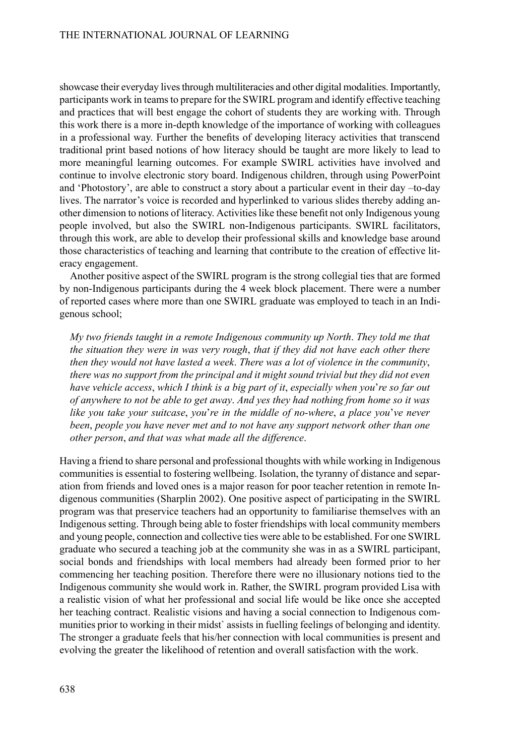showcase their everyday lives through multiliteracies and other digital modalities. Importantly, participants work in teamsto prepare for theSWIRL program and identify effective teaching and practices that will best engage the cohort of students they are working with. Through this work there is a more in-depth knowledge of the importance of working with colleagues in a professional way. Further the benefits of developing literacy activities that transcend traditional print based notions of how literacy should be taught are more likely to lead to more meaningful learning outcomes. For example SWIRL activities have involved and continue to involve electronic story board. Indigenous children, through using PowerPoint and 'Photostory', are able to construct a story about a particular event in their day –to-day lives. The narrator's voice is recorded and hyperlinked to various slides thereby adding another dimension to notions of literacy. Activitieslike these benefit not only Indigenous young people involved, but also the SWIRL non-Indigenous participants. SWIRL facilitators, through this work, are able to develop their professional skills and knowledge base around those characteristics of teaching and learning that contribute to the creation of effective literacy engagement.

Another positive aspect of the SWIRL program is the strong collegial ties that are formed by non-Indigenous participants during the 4 week block placement. There were a number of reported cases where more than one SWIRL graduate was employed to teach in an Indigenous school;

*My two friends taught in a remote Indigenous community up North*. *They told me that the situation they were in was very rough*, *that if they did not have each other there then they would not have lasted a week*. *There was a lot of violence in the community*, *there was no support from the principal and it might sound trivial but they did not even have vehicle access*, *which I think is a big part of it*, *especially when you*'*re so far out of anywhere to not be able to get away*. *And yes they had nothing from home so it was like you take your suitcase*, *you*'*re in the middle of no-where*, *a place you*'*ve never been*, *people you have never met and to not have any support network other than one other person*, *and that was what made all the difference*.

Having a friend to share personal and professional thoughts with while working in Indigenous communities is essential to fostering wellbeing. Isolation, the tyranny of distance and separation from friends and loved ones is a major reason for poor teacher retention in remote Indigenous communities (Sharplin 2002). One positive aspect of participating in the SWIRL program was that preservice teachers had an opportunity to familiarise themselves with an Indigenous setting. Through being able to foster friendships with local community members and young people, connection and collective ties were able to be established. For one SWIRL graduate who secured a teaching job at the community she was in as a SWIRL participant, social bonds and friendships with local members had already been formed prior to her commencing her teaching position. Therefore there were no illusionary notions tied to the Indigenous community she would work in. Rather, the SWIRL program provided Lisa with a realistic vision of what her professional and social life would be like once she accepted her teaching contract. Realistic visions and having a social connection to Indigenous communities prior to working in their midst` assists in fuelling feelings of belonging and identity. The stronger a graduate feels that his/her connection with local communities is present and evolving the greater the likelihood of retention and overall satisfaction with the work.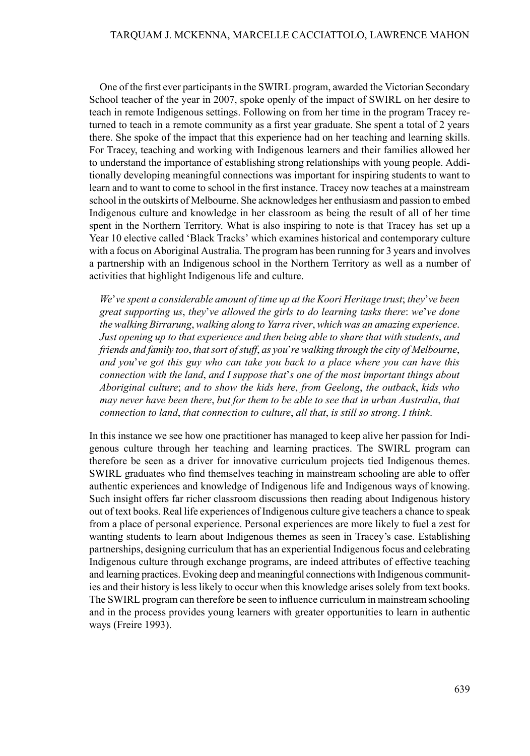One of the first ever participants in the SWIRL program, awarded the Victorian Secondary School teacher of the year in 2007, spoke openly of the impact of SWIRL on her desire to teach in remote Indigenous settings. Following on from her time in the program Tracey returned to teach in a remote community as a first year graduate. She spent a total of 2 years there. She spoke of the impact that this experience had on her teaching and learning skills. For Tracey, teaching and working with Indigenous learners and their families allowed her to understand the importance of establishing strong relationships with young people. Additionally developing meaningful connections was important for inspiring students to want to learn and to want to come to school in thefirst instance. Tracey now teaches at a mainstream school in the outskirts of Melbourne. She acknowledges her enthusiasm and passion to embed Indigenous culture and knowledge in her classroom as being the result of all of her time spent in the Northern Territory. What is also inspiring to note is that Tracey has set up a Year 10 elective called 'Black Tracks' which examines historical and contemporary culture with a focus on Aboriginal Australia. The program has been running for 3 years and involves a partnership with an Indigenous school in the Northern Territory as well as a number of activities that highlight Indigenous life and culture.

*We*'*ve spent a considerable amount of time up at the Koori Heritage trust*; *they*'*ve been great supporting us*, *they*'*ve allowed the girls to do learning tasks there*: *we*'*ve done the* walking *Birrarung*, *walking along to Yarra river*, *which* was an *amazing experience*. *Just opening up to that experience and then being able to share that with students*, *and friends and family too*, *thatsort ofstuff*, *as you*'*re walking through the city of Melbourne*, *and you*'*ve got this guy who can take you back to a place where you can have this connection with the land*, *and I suppose that*'*s one of the most important things about Aboriginal culture*; *and to show the kids here*, *from Geelong*, *the outback*, *kids who may never have been there*, *but for them to be able to see that in urban Australia*, *that connection to land*, *that connection to culture*, *all that*, *is still so strong*. *I think*.

In this instance we see how one practitioner has managed to keep alive her passion for Indigenous culture through her teaching and learning practices. The SWIRL program can therefore be seen as a driver for innovative curriculum projects tied Indigenous themes. SWIRL graduates who find themselves teaching in mainstream schooling are able to offer authentic experiences and knowledge of Indigenous life and Indigenous ways of knowing. Such insight offers far richer classroom discussions then reading about Indigenous history out of text books. Real life experiences of Indigenous culture give teachers a chance to speak from a place of personal experience. Personal experiences are more likely to fuel a zest for wanting students to learn about Indigenous themes as seen in Tracey's case. Establishing partnerships, designing curriculum that has an experiential Indigenous focus and celebrating Indigenous culture through exchange programs, are indeed attributes of effective teaching and learning practices. Evoking deep and meaningful connections with Indigenous communities and their history is less likely to occur when this knowledge arises solely from text books. The SWIRL program can therefore be seen to influence curriculum in mainstream schooling and in the process provides young learners with greater opportunities to learn in authentic ways (Freire 1993).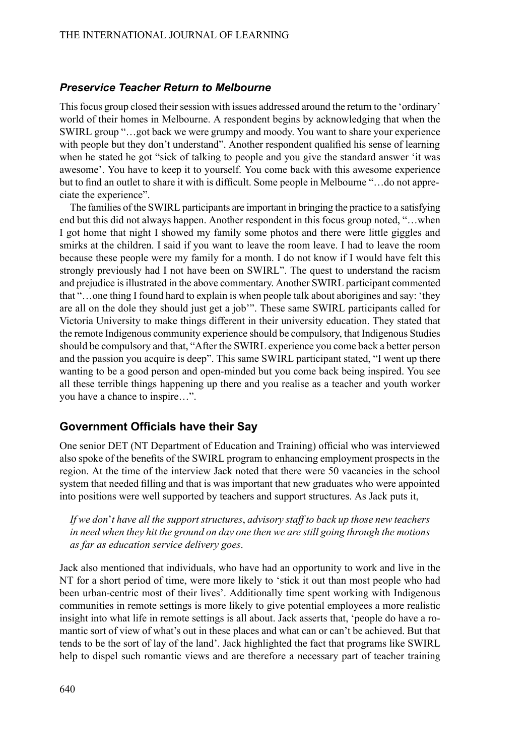#### *Preservice Teacher Return to Melbourne*

This focus group closed their session with issues addressed around the return to the 'ordinary' world of their homes in Melbourne. A respondent begins by acknowledging that when the SWIRL group "…got back we were grumpy and moody. You want to share your experience with people but they don't understand". Another respondent qualified his sense of learning when he stated he got "sick of talking to people and you give the standard answer 'it was awesome'. You have to keep it to yourself. You come back with this awesome experience but to find an outlet to share it with is difficult. Some people in Melbourne "…do not appreciate the experience".

The families of the SWIRL participants are important in bringing the practice to a satisfying end but this did not always happen. Another respondent in this focus group noted, "…when I got home that night I showed my family some photos and there were little giggles and smirks at the children. I said if you want to leave the room leave. I had to leave the room because these people were my family for a month. I do not know if I would have felt this strongly previously had I not have been on SWIRL". The quest to understand the racism and prejudice is illustrated in the above commentary. Another SWIRL participant commented that "…one thing I found hard to explain is when people talk about aborigines and say: 'they are all on the dole they should just get a job'". These same SWIRL participants called for Victoria University to make things different in their university education. They stated that the remote Indigenous community experience should be compulsory, that Indigenous Studies should be compulsory and that, "After theSWIRL experience you come back a better person and the passion you acquire is deep". This same SWIRL participant stated, "I went up there wanting to be a good person and open-minded but you come back being inspired. You see all these terrible things happening up there and you realise as a teacher and youth worker you have a chance to inspire…".

#### **Government Officials have their Say**

One senior DET (NT Department of Education and Training) official who was interviewed also spoke of the benefits of the SWIRL program to enhancing employment prospects in the region. At the time of the interview Jack noted that there were 50 vacancies in the school system that needed filling and that is was important that new graduates who were appointed into positions were well supported by teachers and support structures. As Jack puts it,

*If we don*'*t have all the support structures*, *advisory staff to back up those new teachers in need when they hit the ground on day one then we are still going through the motions as far as education service delivery goes*.

Jack also mentioned that individuals, who have had an opportunity to work and live in the NT for a short period of time, were more likely to 'stick it out than most people who had been urban-centric most of their lives'. Additionally time spent working with Indigenous communities in remote settings is more likely to give potential employees a more realistic insight into what life in remote settings is all about. Jack asserts that, 'people do have a romantic sort of view of what's out in these places and what can or can't be achieved. But that tends to be the sort of lay of the land'. Jack highlighted the fact that programs like SWIRL help to dispel such romantic views and are therefore a necessary part of teacher training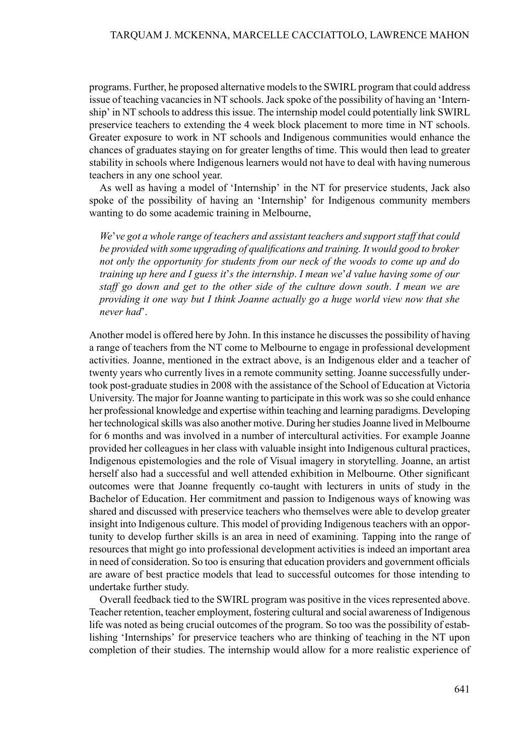programs.Further, he proposed alternative modelsto theSWIRL program that could address issue of teaching vacancies in NT schools. Jack spoke of the possibility of having an 'Internship' in NT schools to address this issue. The internship model could potentially link SWIRL preservice teachers to extending the 4 week block placement to more time in NT schools. Greater exposure to work in NT schools and Indigenous communities would enhance the chances of graduates staying on for greater lengths of time. This would then lead to greater stability in schools where Indigenous learners would not have to deal with having numerous teachers in any one school year.

As well as having a model of 'Internship' in the NT for preservice students, Jack also spoke of the possibility of having an 'Internship' for Indigenous community members wanting to do some academic training in Melbourne,

*We*'*ve got a whole range of teachers and assistant teachers and support staff that could be provided with some upgrading of qualifications and training. It would good to broker not only the opportunity for students from our neck of the woods to come up and do training up here and I guess it*'*s the internship*. *I mean we*'*d value having some of our staff go down and get to the other side of the culture down south*. *I mean we are providing it one way but I think Joanne actually go a huge world view now that she never had*'.

Another model is offered here by John. In this instance he discusses the possibility of having a range of teachers from the NT come to Melbourne to engage in professional development activities. Joanne, mentioned in the extract above, is an Indigenous elder and a teacher of twenty years who currently lives in a remote community setting. Joanne successfully undertook post-graduate studies in 2008 with the assistance of the School of Education at Victoria University. The major for Joanne wanting to participate in this work was so she could enhance her professional knowledge and expertise within teaching and learning paradigms. Developing her technological skills was also another motive. During her studies Joanne lived in Melbourne for 6 months and was involved in a number of intercultural activities. For example Joanne provided her colleagues in her class with valuable insight into Indigenous cultural practices, Indigenous epistemologies and the role of Visual imagery in storytelling. Joanne, an artist herself also had a successful and well attended exhibition in Melbourne. Other significant outcomes were that Joanne frequently co-taught with lecturers in units of study in the Bachelor of Education. Her commitment and passion to Indigenous ways of knowing was shared and discussed with preservice teachers who themselves were able to develop greater insight into Indigenous culture. This model of providing Indigenous teachers with an opportunity to develop further skills is an area in need of examining. Tapping into the range of resources that might go into professional development activities is indeed an important area in need of consideration. So too is ensuring that education providers and government officials are aware of best practice models that lead to successful outcomes for those intending to undertake further study.

Overall feedback tied to theSWIRL program was positive in the vices represented above. Teacher retention, teacher employment, fostering cultural and social awareness of Indigenous life was noted as being crucial outcomes of the program. So too was the possibility of establishing 'Internships' for preservice teachers who are thinking of teaching in the NT upon completion of their studies. The internship would allow for a more realistic experience of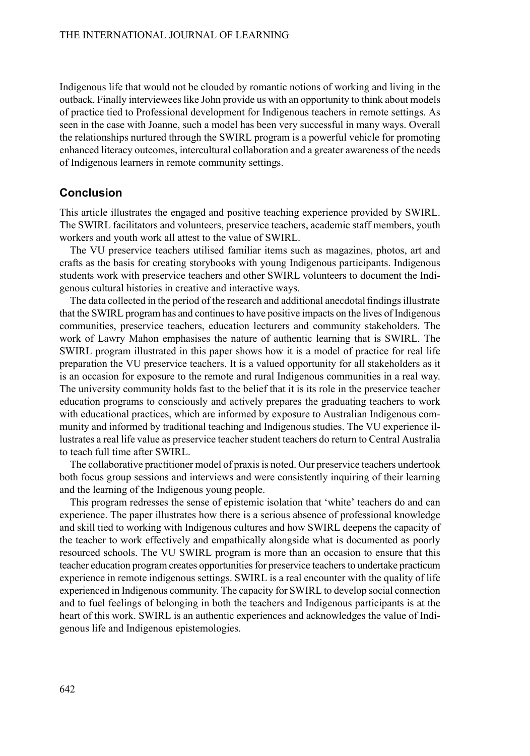Indigenous life that would not be clouded by romantic notions of working and living in the outback.Finally interviewees like John provide us with an opportunity to think about models of practice tied to Professional development for Indigenous teachers in remote settings. As seen in the case with Joanne, such a model has been very successful in many ways. Overall the relationships nurtured through the SWIRL program is a powerful vehicle for promoting enhanced literacy outcomes, intercultural collaboration and a greater awareness of the needs of Indigenous learners in remote community settings.

#### **Conclusion**

This article illustrates the engaged and positive teaching experience provided by SWIRL. The SWIRL facilitators and volunteers, preservice teachers, academic staff members, youth workers and youth work all attest to the value of SWIRL.

The VU preservice teachers utilised familiar items such as magazines, photos, art and crafts as the basis for creating storybooks with young Indigenous participants. Indigenous students work with preservice teachers and other SWIRL volunteers to document the Indigenous cultural histories in creative and interactive ways.

The data collected in the period of the research and additional anecdotal findings illustrate that the SWIRL program has and continues to have positive impacts on the lives of Indigenous communities, preservice teachers, education lecturers and community stakeholders. The work of Lawry Mahon emphasises the nature of authentic learning that is SWIRL. The SWIRL program illustrated in this paper shows how it is a model of practice for real life preparation the VU preservice teachers. It is a valued opportunity for all stakeholders as it is an occasion for exposure to the remote and rural Indigenous communities in a real way. The university community holds fast to the belief that it is its role in the preservice teacher education programs to consciously and actively prepares the graduating teachers to work with educational practices, which are informed by exposure to Australian Indigenous community and informed by traditional teaching and Indigenous studies. The VU experience illustrates a real life value as preservice teacher student teachers do return to Central Australia to teach full time after SWIRL.

The collaborative practitioner model of praxisis noted. Our preservice teachers undertook both focus group sessions and interviews and were consistently inquiring of their learning and the learning of the Indigenous young people.

This program redresses the sense of epistemic isolation that 'white' teachers do and can experience. The paper illustrates how there is a serious absence of professional knowledge and skill tied to working with Indigenous cultures and how SWIRL deepens the capacity of the teacher to work effectively and empathically alongside what is documented as poorly resourced schools. The VU SWIRL program is more than an occasion to ensure that this teacher education program creates opportunities for preservice teachers to undertake practicum experience in remote indigenous settings. SWIRL is a real encounter with the quality of life experienced in Indigenous community. The capacity forSWIRL to develop social connection and to fuel feelings of belonging in both the teachers and Indigenous participants is at the heart of this work. SWIRL is an authentic experiences and acknowledges the value of Indigenous life and Indigenous epistemologies.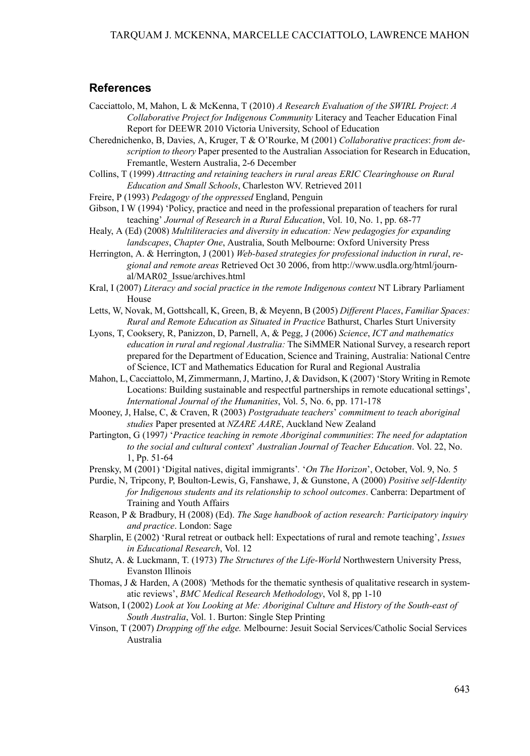#### **References**

- Cacciattolo, M, Mahon, L & McKenna, T (2010) *A Research Evaluation of the SWIRL Project*: *A Collaborative Project for Indigenous Community* Literacy and Teacher Education Final Report for DEEWR 2010 Victoria University, School of Education
- Cherednichenko, B, Davies, A, Kruger, T & O'Rourke, M (2001) *Collaborative practices*: *from description to theory* Paper presented to the Australian Association for Research in Education, Fremantle, Western Australia, 2-6 December
- Collins, T (1999) *Attracting and retaining teachers in rural areas ERIC Clearinghouse on Rural Education and Small Schools*, Charleston WV. Retrieved 2011
- Freire, P (1993) *Pedagogy of the oppressed* England, Penguin
- Gibson, I W (1994) 'Policy, practice and need in the professional preparation of teachers for rural teaching' *Journal of Research in a Rural Education*, Vol. 10, No. 1, pp. 68-77
- Healy, A (Ed) (2008) *Multiliteracies and diversity in education: New pedagogies for expanding landscapes*, *Chapter One*, Australia, South Melbourne: Oxford University Press
- Herrington, A. & Herrington, J (2001) *Web-based strategies for professional induction in rural*, *regional and remote areas* Retrieved Oct 30 2006, from http://www.usdla.org/html/journal/MAR02\_Issue/archives.html
- Kral, I (2007) *Literacy and social practice in the remote Indigenous context* NT Library Parliament House
- Letts, W, Novak, M, Gottshcall, K, Green, B, & Meyenn, B (2005) *Different Places*, *Familiar Spaces: Rural and Remote Education as Situated in Practice* Bathurst, Charles Sturt University
- Lyons, T, Cooksery, R, Panizzon, D, Parnell, A, & Pegg, J (2006) *Science*, *ICT and mathematics education in rural and regional Australia:* The SiMMER National Survey, a research report prepared for the Department of Education, Science and Training, Australia: National Centre of Science, ICT and Mathematics Education for Rural and Regional Australia
- Mahon, L, Cacciattolo, M, Zimmermann, J, Martino, J, & Davidson, K (2007) 'Story Writing in Remote Locations: Building sustainable and respectful partnerships in remote educational settings', *International Journal of the Humanities*, Vol. 5, No. 6, pp. 171-178
- Mooney, J, Halse, C, & Craven, R (2003) *Postgraduate teachers*' *commitment to teach aboriginal studies* Paper presented at *NZARE AARE*, Auckland New Zealand
- Partington, G (1997*)* '*Practice teaching in remote Aboriginal communities*: *The need for adaptation to the social and cultural context*' *Australian Journal of Teacher Education*. Vol. 22, No. 1, Pp. 51-64
- Prensky, M (2001) 'Digital natives, digital immigrants'*.* '*On The Horizon*', October, Vol. 9, No. 5
- Purdie, N, Tripcony, P, Boulton-Lewis, G, Fanshawe, J, & Gunstone, A (2000) *Positive self-Identity for Indigenous students and its relationship to school outcomes*. Canberra: Department of Training and Youth Affairs
- Reason, P & Bradbury, H (2008) (Ed). *The Sage handbook of action research: Participatory inquiry and practice*. London: Sage
- Sharplin, E (2002) 'Rural retreat or outback hell: Expectations of rural and remote teaching', *Issues in Educational Research*, Vol. 12
- Shutz, A. & Luckmann, T. (1973) *The Structures of the Life-World* Northwestern University Press, Evanston Illinois
- Thomas, J & Harden, A (2008) *'*Methods for the thematic synthesis of qualitative research in systematic reviews', *BMC Medical Research Methodology*, Vol 8, pp 1-10
- Watson, I (2002) *Look at You Looking at Me: Aboriginal Culture and History of the South-east of South Australia*, Vol. 1. Burton: Single Step Printing
- Vinson, T (2007) *Dropping off the edge.* Melbourne: Jesuit Social Services/Catholic Social Services Australia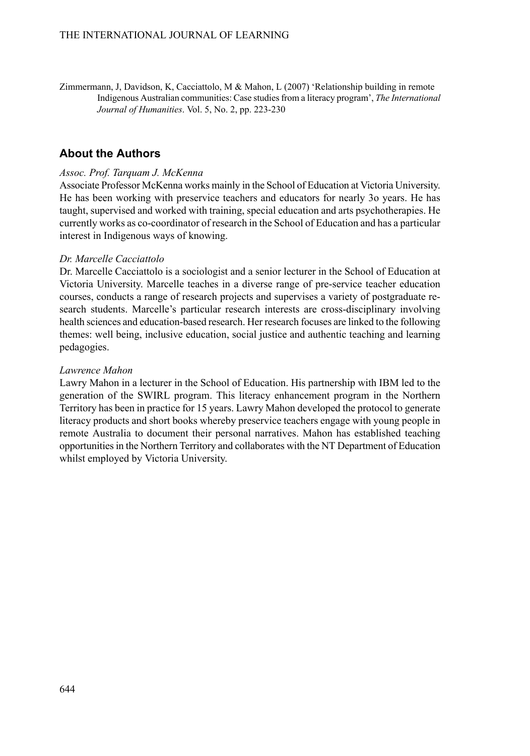Zimmermann, J, Davidson, K, Cacciattolo, M & Mahon, L (2007) 'Relationship building in remote Indigenous Australian communities: Case studiesfrom a literacy program', *The International Journal of Humanities*. Vol. 5, No. 2, pp. 223-230

## **About the Authors**

#### *Assoc. Prof. Tarquam J. McKenna*

Associate Professor McKenna works mainly in the School of Education at Victoria University. He has been working with preservice teachers and educators for nearly 3o years. He has taught, supervised and worked with training, special education and arts psychotherapies. He currently works as co-coordinator of research in the School of Education and has a particular interest in Indigenous ways of knowing.

#### *Dr. Marcelle Cacciattolo*

Dr. Marcelle Cacciattolo is a sociologist and a senior lecturer in the School of Education at Victoria University. Marcelle teaches in a diverse range of pre-service teacher education courses, conducts a range of research projects and supervises a variety of postgraduate research students. Marcelle's particular research interests are cross-disciplinary involving health sciences and education-based research. Her research focuses are linked to the following themes: well being, inclusive education, social justice and authentic teaching and learning pedagogies.

#### *Lawrence Mahon*

Lawry Mahon in a lecturer in the School of Education. His partnership with IBM led to the generation of the SWIRL program. This literacy enhancement program in the Northern Territory has been in practice for 15 years. Lawry Mahon developed the protocol to generate literacy products and short books whereby preservice teachers engage with young people in remote Australia to document their personal narratives. Mahon has established teaching opportunitiesin the Northern Territory and collaborates with the NT Department of Education whilst employed by Victoria University.